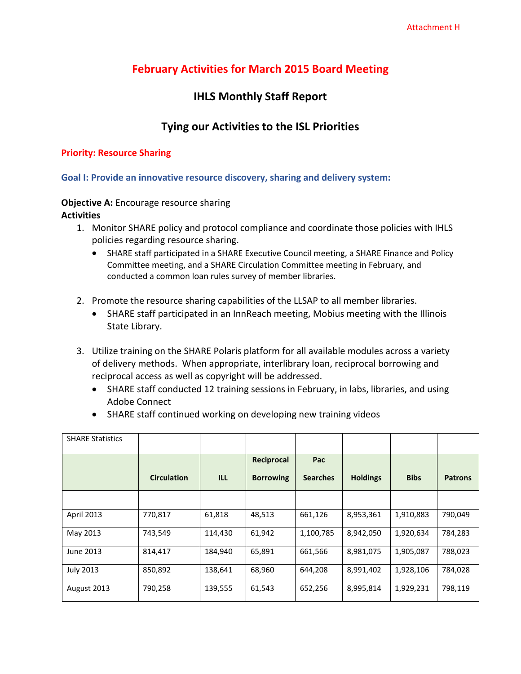# **February Activities for March 2015 Board Meeting**

# **IHLS Monthly Staff Report**

# **Tying our Activities to the ISL Priorities**

#### **Priority: Resource Sharing**

**Goal I: Provide an innovative resource discovery, sharing and delivery system:** 

## **Objective A:** Encourage resource sharing **Activities**

- 1. Monitor SHARE policy and protocol compliance and coordinate those policies with IHLS policies regarding resource sharing.
	- SHARE staff participated in a SHARE Executive Council meeting, a SHARE Finance and Policy Committee meeting, and a SHARE Circulation Committee meeting in February, and conducted a common loan rules survey of member libraries.
- 2. Promote the resource sharing capabilities of the LLSAP to all member libraries.
	- SHARE staff participated in an InnReach meeting, Mobius meeting with the Illinois State Library.
- 3. Utilize training on the SHARE Polaris platform for all available modules across a variety of delivery methods. When appropriate, interlibrary loan, reciprocal borrowing and reciprocal access as well as copyright will be addressed.
	- SHARE staff conducted 12 training sessions in February, in labs, libraries, and using Adobe Connect
	- SHARE staff continued working on developing new training videos

| <b>SHARE Statistics</b> |                    |         |                  |                 |                 |             |                |
|-------------------------|--------------------|---------|------------------|-----------------|-----------------|-------------|----------------|
|                         |                    |         | Reciprocal       | Pac             |                 |             |                |
|                         | <b>Circulation</b> | ILL     | <b>Borrowing</b> | <b>Searches</b> | <b>Holdings</b> | <b>Bibs</b> | <b>Patrons</b> |
|                         |                    |         |                  |                 |                 |             |                |
| <b>April 2013</b>       | 770,817            | 61,818  | 48,513           | 661,126         | 8,953,361       | 1,910,883   | 790,049        |
| May 2013                | 743,549            | 114,430 | 61,942           | 1,100,785       | 8,942,050       | 1,920,634   | 784,283        |
| June 2013               | 814,417            | 184,940 | 65,891           | 661,566         | 8,981,075       | 1,905,087   | 788,023        |
| <b>July 2013</b>        | 850,892            | 138,641 | 68,960           | 644,208         | 8,991,402       | 1,928,106   | 784,028        |
| August 2013             | 790,258            | 139,555 | 61,543           | 652,256         | 8,995,814       | 1,929,231   | 798,119        |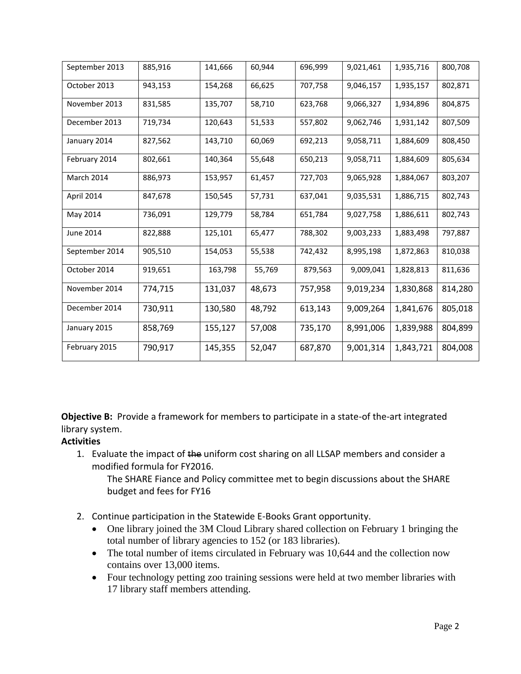| September 2013    | 885,916 | 141,666 | 60,944 | 696,999 | 9,021,461 | 1,935,716 | 800,708 |
|-------------------|---------|---------|--------|---------|-----------|-----------|---------|
| October 2013      | 943,153 | 154,268 | 66,625 | 707,758 | 9,046,157 | 1,935,157 | 802,871 |
| November 2013     | 831,585 | 135,707 | 58,710 | 623,768 | 9,066,327 | 1,934,896 | 804,875 |
| December 2013     | 719,734 | 120,643 | 51,533 | 557,802 | 9,062,746 | 1,931,142 | 807,509 |
| January 2014      | 827,562 | 143,710 | 60,069 | 692,213 | 9,058,711 | 1,884,609 | 808,450 |
| February 2014     | 802,661 | 140,364 | 55,648 | 650,213 | 9,058,711 | 1,884,609 | 805,634 |
| <b>March 2014</b> | 886,973 | 153,957 | 61,457 | 727,703 | 9,065,928 | 1,884,067 | 803,207 |
| April 2014        | 847,678 | 150,545 | 57,731 | 637,041 | 9,035,531 | 1,886,715 | 802,743 |
| May 2014          | 736,091 | 129,779 | 58,784 | 651,784 | 9,027,758 | 1,886,611 | 802,743 |
| <b>June 2014</b>  | 822,888 | 125,101 | 65,477 | 788,302 | 9,003,233 | 1,883,498 | 797,887 |
| September 2014    | 905,510 | 154,053 | 55,538 | 742,432 | 8,995,198 | 1,872,863 | 810,038 |
| October 2014      | 919,651 | 163,798 | 55,769 | 879,563 | 9,009,041 | 1,828,813 | 811,636 |
| November 2014     | 774,715 | 131,037 | 48,673 | 757,958 | 9,019,234 | 1,830,868 | 814,280 |
| December 2014     | 730,911 | 130,580 | 48,792 | 613,143 | 9,009,264 | 1,841,676 | 805,018 |
| January 2015      | 858,769 | 155,127 | 57,008 | 735,170 | 8,991,006 | 1,839,988 | 804,899 |
| February 2015     | 790,917 | 145,355 | 52,047 | 687,870 | 9,001,314 | 1,843,721 | 804,008 |

**Objective B:** Provide a framework for members to participate in a state-of the-art integrated library system.

## **Activities**

1. Evaluate the impact of the uniform cost sharing on all LLSAP members and consider a modified formula for FY2016.

The SHARE Fiance and Policy committee met to begin discussions about the SHARE budget and fees for FY16

- 2. Continue participation in the Statewide E-Books Grant opportunity.
	- One library joined the 3M Cloud Library shared collection on February 1 bringing the total number of library agencies to 152 (or 183 libraries).
	- The total number of items circulated in February was 10,644 and the collection now contains over 13,000 items.
	- Four technology petting zoo training sessions were held at two member libraries with 17 library staff members attending.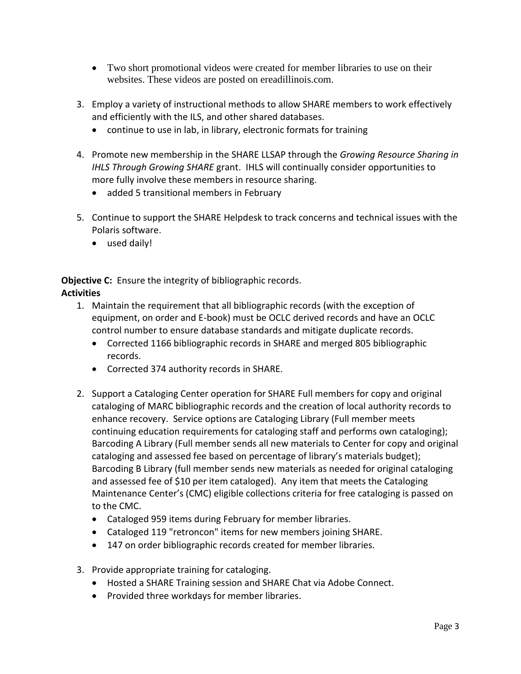- Two short promotional videos were created for member libraries to use on their websites. These videos are posted on ereadillinois.com.
- 3. Employ a variety of instructional methods to allow SHARE members to work effectively and efficiently with the ILS, and other shared databases.
	- continue to use in lab, in library, electronic formats for training
- 4. Promote new membership in the SHARE LLSAP through the *Growing Resource Sharing in IHLS Through Growing SHARE* grant. IHLS will continually consider opportunities to more fully involve these members in resource sharing.
	- added 5 transitional members in February
- 5. Continue to support the SHARE Helpdesk to track concerns and technical issues with the Polaris software.
	- used daily!

**Objective C:** Ensure the integrity of bibliographic records. **Activities**

- 1. Maintain the requirement that all bibliographic records (with the exception of equipment, on order and E-book) must be OCLC derived records and have an OCLC control number to ensure database standards and mitigate duplicate records.
	- Corrected 1166 bibliographic records in SHARE and merged 805 bibliographic records.
	- Corrected 374 authority records in SHARE.
- 2. Support a Cataloging Center operation for SHARE Full members for copy and original cataloging of MARC bibliographic records and the creation of local authority records to enhance recovery. Service options are Cataloging Library (Full member meets continuing education requirements for cataloging staff and performs own cataloging); Barcoding A Library (Full member sends all new materials to Center for copy and original cataloging and assessed fee based on percentage of library's materials budget); Barcoding B Library (full member sends new materials as needed for original cataloging and assessed fee of \$10 per item cataloged). Any item that meets the Cataloging Maintenance Center's (CMC) eligible collections criteria for free cataloging is passed on to the CMC.
	- Cataloged 959 items during February for member libraries.
	- Cataloged 119 "retroncon" items for new members joining SHARE.
	- 147 on order bibliographic records created for member libraries*.*
- 3. Provide appropriate training for cataloging.
	- Hosted a SHARE Training session and SHARE Chat via Adobe Connect.
	- Provided three workdays for member libraries.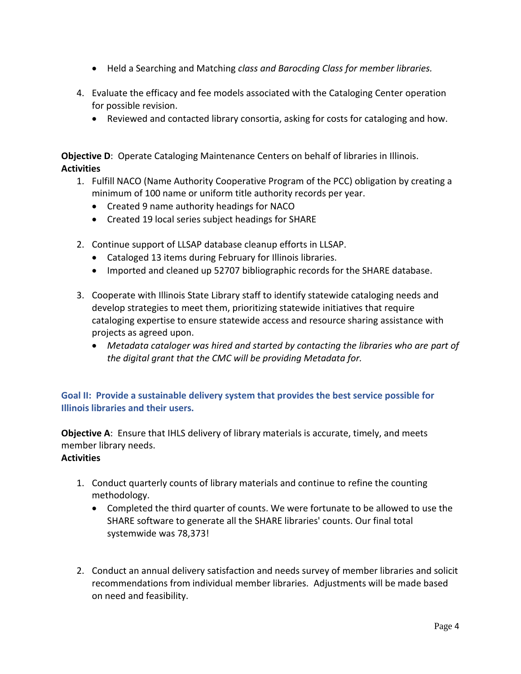- Held a Searching and Matching *class and Barocding Class for member libraries.*
- 4. Evaluate the efficacy and fee models associated with the Cataloging Center operation for possible revision.
	- Reviewed and contacted library consortia, asking for costs for cataloging and how.

**Objective D:** Operate Cataloging Maintenance Centers on behalf of libraries in Illinois. **Activities**

- 1. Fulfill NACO (Name Authority Cooperative Program of the PCC) obligation by creating a minimum of 100 name or uniform title authority records per year.
	- Created 9 name authority headings for NACO
	- Created 19 local series subject headings for SHARE
- 2. Continue support of LLSAP database cleanup efforts in LLSAP.
	- Cataloged 13 items during February for Illinois libraries.
	- Imported and cleaned up 52707 bibliographic records for the SHARE database.
- 3. Cooperate with Illinois State Library staff to identify statewide cataloging needs and develop strategies to meet them, prioritizing statewide initiatives that require cataloging expertise to ensure statewide access and resource sharing assistance with projects as agreed upon.
	- *Metadata cataloger was hired and started by contacting the libraries who are part of the digital grant that the CMC will be providing Metadata for.*

## **Goal II: Provide a sustainable delivery system that provides the best service possible for Illinois libraries and their users.**

**Objective A**: Ensure that IHLS delivery of library materials is accurate, timely, and meets member library needs.

## **Activities**

- 1. Conduct quarterly counts of library materials and continue to refine the counting methodology.
	- Completed the third quarter of counts. We were fortunate to be allowed to use the SHARE software to generate all the SHARE libraries' counts. Our final total systemwide was 78,373!
- 2. Conduct an annual delivery satisfaction and needs survey of member libraries and solicit recommendations from individual member libraries. Adjustments will be made based on need and feasibility.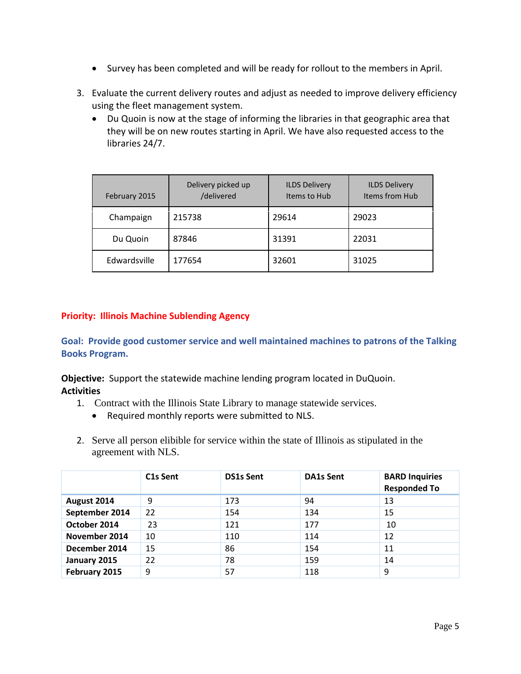- Survey has been completed and will be ready for rollout to the members in April.
- 3. Evaluate the current delivery routes and adjust as needed to improve delivery efficiency using the fleet management system.
	- Du Quoin is now at the stage of informing the libraries in that geographic area that they will be on new routes starting in April. We have also requested access to the libraries 24/7.

| February 2015 | Delivery picked up<br>/delivered | <b>ILDS Delivery</b><br>Items to Hub | <b>ILDS Delivery</b><br>Items from Hub |
|---------------|----------------------------------|--------------------------------------|----------------------------------------|
| Champaign     | 215738                           | 29614                                | 29023                                  |
| Du Quoin      | 87846                            | 31391                                | 22031                                  |
| Edwardsville  | 177654                           | 32601                                | 31025                                  |

## **Priority: Illinois Machine Sublending Agency**

**Goal: Provide good customer service and well maintained machines to patrons of the Talking Books Program.**

**Objective:** Support the statewide machine lending program located in DuQuoin. **Activities**

- 1. Contract with the Illinois State Library to manage statewide services.
	- Required monthly reports were submitted to NLS.
- 2. Serve all person elibible for service within the state of Illinois as stipulated in the agreement with NLS.

|                | C <sub>1</sub> s Sent | <b>DS1s Sent</b> | <b>DA1s Sent</b> | <b>BARD Inquiries</b><br><b>Responded To</b> |
|----------------|-----------------------|------------------|------------------|----------------------------------------------|
| August 2014    | 9                     | 173              | 94               | 13                                           |
| September 2014 | 22                    | 154              | 134              | 15                                           |
| October 2014   | 23                    | 121              | 177              | 10                                           |
| November 2014  | 10                    | 110              | 114              | 12                                           |
| December 2014  | 15                    | 86               | 154              | 11                                           |
| January 2015   | 22                    | 78               | 159              | 14                                           |
| February 2015  | 9                     | 57               | 118              | 9                                            |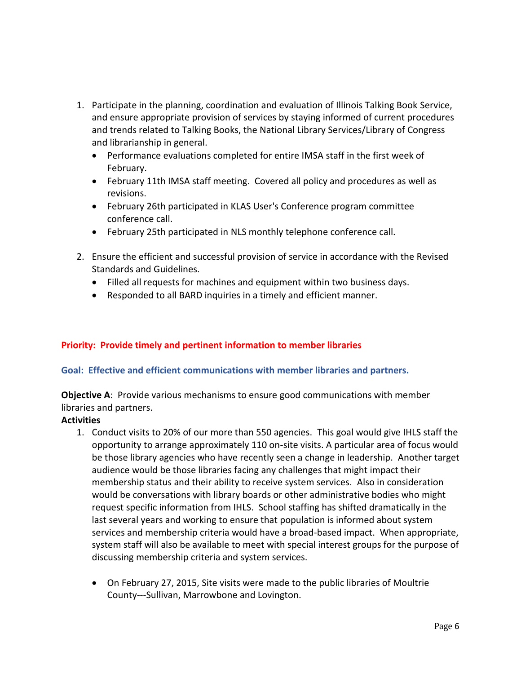- 1. Participate in the planning, coordination and evaluation of Illinois Talking Book Service, and ensure appropriate provision of services by staying informed of current procedures and trends related to Talking Books, the National Library Services/Library of Congress and librarianship in general.
	- Performance evaluations completed for entire IMSA staff in the first week of February.
	- February 11th IMSA staff meeting. Covered all policy and procedures as well as revisions.
	- February 26th participated in KLAS User's Conference program committee conference call.
	- February 25th participated in NLS monthly telephone conference call.
- 2. Ensure the efficient and successful provision of service in accordance with the Revised Standards and Guidelines.
	- Filled all requests for machines and equipment within two business days.
	- Responded to all BARD inquiries in a timely and efficient manner.

## **Priority: Provide timely and pertinent information to member libraries**

## **Goal: Effective and efficient communications with member libraries and partners.**

**Objective A**: Provide various mechanisms to ensure good communications with member libraries and partners.

## **Activities**

- 1. Conduct visits to 20% of our more than 550 agencies. This goal would give IHLS staff the opportunity to arrange approximately 110 on-site visits. A particular area of focus would be those library agencies who have recently seen a change in leadership. Another target audience would be those libraries facing any challenges that might impact their membership status and their ability to receive system services. Also in consideration would be conversations with library boards or other administrative bodies who might request specific information from IHLS. School staffing has shifted dramatically in the last several years and working to ensure that population is informed about system services and membership criteria would have a broad-based impact. When appropriate, system staff will also be available to meet with special interest groups for the purpose of discussing membership criteria and system services.
	- On February 27, 2015, Site visits were made to the public libraries of Moultrie County---Sullivan, Marrowbone and Lovington.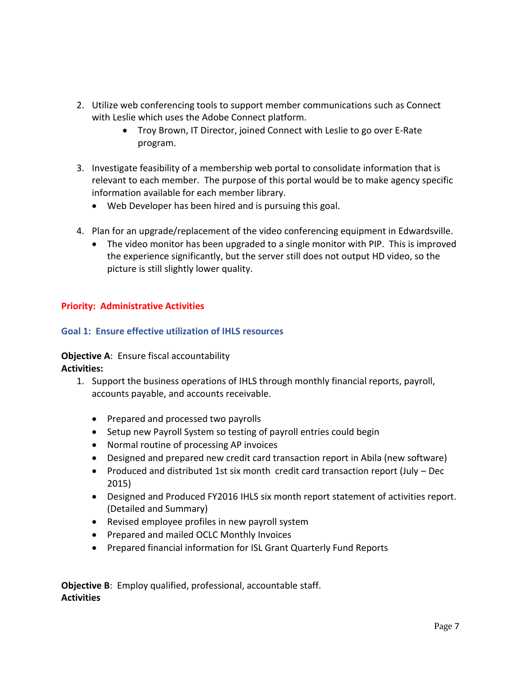- 2. Utilize web conferencing tools to support member communications such as Connect with Leslie which uses the Adobe Connect platform.
	- Troy Brown, IT Director, joined Connect with Leslie to go over E-Rate program.
- 3. Investigate feasibility of a membership web portal to consolidate information that is relevant to each member. The purpose of this portal would be to make agency specific information available for each member library.
	- Web Developer has been hired and is pursuing this goal.
- 4. Plan for an upgrade/replacement of the video conferencing equipment in Edwardsville.
	- The video monitor has been upgraded to a single monitor with PIP. This is improved the experience significantly, but the server still does not output HD video, so the picture is still slightly lower quality.

## **Priority: Administrative Activities**

## **Goal 1: Ensure effective utilization of IHLS resources**

## **Objective A: Ensure fiscal accountability**

**Activities:**

- 1. Support the business operations of IHLS through monthly financial reports, payroll, accounts payable, and accounts receivable.
	- Prepared and processed two payrolls
	- Setup new Payroll System so testing of payroll entries could begin
	- Normal routine of processing AP invoices
	- Designed and prepared new credit card transaction report in Abila (new software)
	- Produced and distributed 1st six month credit card transaction report (July Dec 2015)
	- Designed and Produced FY2016 IHLS six month report statement of activities report. (Detailed and Summary)
	- Revised employee profiles in new payroll system
	- Prepared and mailed OCLC Monthly Invoices
	- Prepared financial information for ISL Grant Quarterly Fund Reports

**Objective B**: Employ qualified, professional, accountable staff. **Activities**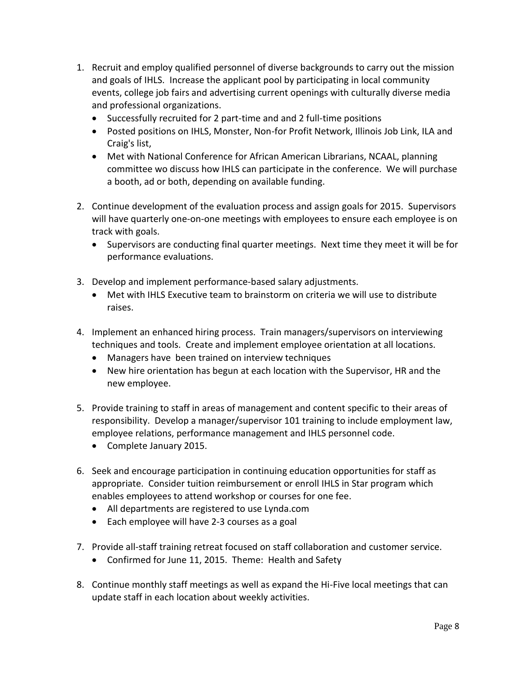- 1. Recruit and employ qualified personnel of diverse backgrounds to carry out the mission and goals of IHLS. Increase the applicant pool by participating in local community events, college job fairs and advertising current openings with culturally diverse media and professional organizations.
	- Successfully recruited for 2 part-time and and 2 full-time positions
	- Posted positions on IHLS, Monster, Non-for Profit Network, Illinois Job Link, ILA and Craig's list,
	- Met with National Conference for African American Librarians, NCAAL, planning committee wo discuss how IHLS can participate in the conference. We will purchase a booth, ad or both, depending on available funding.
- 2. Continue development of the evaluation process and assign goals for 2015. Supervisors will have quarterly one-on-one meetings with employees to ensure each employee is on track with goals.
	- Supervisors are conducting final quarter meetings. Next time they meet it will be for performance evaluations.
- 3. Develop and implement performance-based salary adjustments.
	- Met with IHLS Executive team to brainstorm on criteria we will use to distribute raises.
- 4. Implement an enhanced hiring process. Train managers/supervisors on interviewing techniques and tools. Create and implement employee orientation at all locations.
	- Managers have been trained on interview techniques
	- New hire orientation has begun at each location with the Supervisor, HR and the new employee.
- 5. Provide training to staff in areas of management and content specific to their areas of responsibility. Develop a manager/supervisor 101 training to include employment law, employee relations, performance management and IHLS personnel code.
	- Complete January 2015.
- 6. Seek and encourage participation in continuing education opportunities for staff as appropriate. Consider tuition reimbursement or enroll IHLS in Star program which enables employees to attend workshop or courses for one fee.
	- All departments are registered to use Lynda.com
	- Each employee will have 2-3 courses as a goal
- 7. Provide all-staff training retreat focused on staff collaboration and customer service.
	- Confirmed for June 11, 2015. Theme: Health and Safety
- 8. Continue monthly staff meetings as well as expand the Hi-Five local meetings that can update staff in each location about weekly activities.